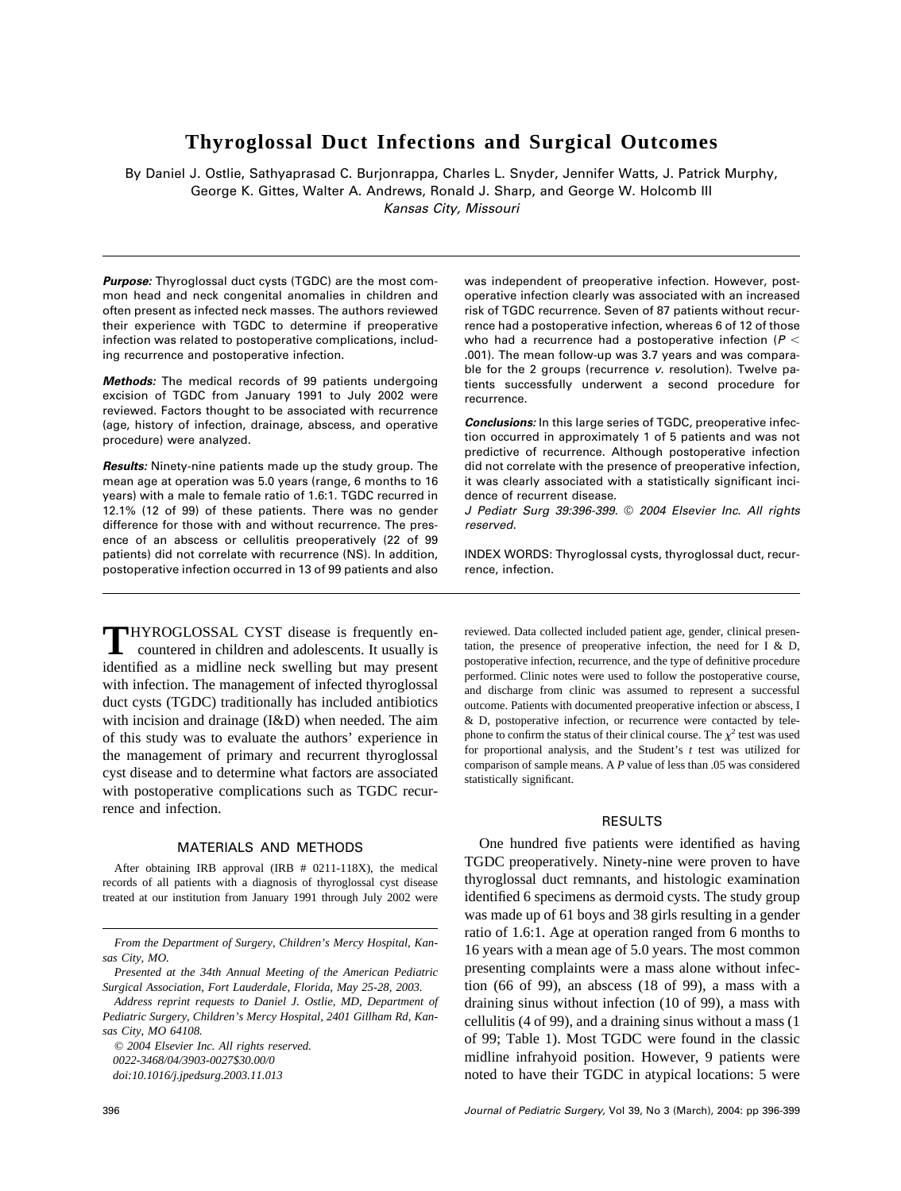# **Thyroglossal Duct Infections and Surgical Outcomes**

By Daniel J. Ostlie, Sathyaprasad C. Burjonrappa, Charles L. Snyder, Jennifer Watts, J. Patrick Murphy, George K. Gittes, Walter A. Andrews, Ronald J. Sharp, and George W. Holcomb III *Kansas City, Missouri*

*Purpose:* Thyroglossal duct cysts (TGDC) are the most common head and neck congenital anomalies in children and often present as infected neck masses. The authors reviewed their experience with TGDC to determine if preoperative infection was related to postoperative complications, including recurrence and postoperative infection.

*Methods:* The medical records of 99 patients undergoing excision of TGDC from January 1991 to July 2002 were reviewed. Factors thought to be associated with recurrence (age, history of infection, drainage, abscess, and operative procedure) were analyzed.

*Results:* Ninety-nine patients made up the study group. The mean age at operation was 5.0 years (range, 6 months to 16 years) with a male to female ratio of 1.6:1. TGDC recurred in 12.1% (12 of 99) of these patients. There was no gender difference for those with and without recurrence. The presence of an abscess or cellulitis preoperatively (22 of 99 patients) did not correlate with recurrence (NS). In addition, postoperative infection occurred in 13 of 99 patients and also

**T**HYROGLOSSAL CYST disease is frequently encountered in children and adolescents. It usually is identified as a midline neck swelling but may present with infection. The management of infected thyroglossal duct cysts (TGDC) traditionally has included antibiotics with incision and drainage (I&D) when needed. The aim of this study was to evaluate the authors' experience in the management of primary and recurrent thyroglossal cyst disease and to determine what factors are associated with postoperative complications such as TGDC recurrence and infection.

## MATERIALS AND METHODS

After obtaining IRB approval (IRB # 0211-118X), the medical records of all patients with a diagnosis of thyroglossal cyst disease treated at our institution from January 1991 through July 2002 were

*© 2004 Elsevier Inc. All rights reserved. 0022-3468/04/3903-0027\$30.00/0 doi:10.1016/j.jpedsurg.2003.11.013*

was independent of preoperative infection. However, postoperative infection clearly was associated with an increased risk of TGDC recurrence. Seven of 87 patients without recurrence had a postoperative infection, whereas 6 of 12 of those who had a recurrence had a postoperative infection (*P* .001). The mean follow-up was 3.7 years and was comparable for the 2 groups (recurrence *v*. resolution). Twelve patients successfully underwent a second procedure for recurrence.

*Conclusions:* In this large series of TGDC, preoperative infection occurred in approximately 1 of 5 patients and was not predictive of recurrence. Although postoperative infection did not correlate with the presence of preoperative infection, it was clearly associated with a statistically significant incidence of recurrent disease.

*J Pediatr Surg 39:396-399.* © *2004 Elsevier Inc. All rights reserved.*

INDEX WORDS: Thyroglossal cysts, thyroglossal duct, recurrence, infection.

reviewed. Data collected included patient age, gender, clinical presentation, the presence of preoperative infection, the need for I & D, postoperative infection, recurrence, and the type of definitive procedure performed. Clinic notes were used to follow the postoperative course, and discharge from clinic was assumed to represent a successful outcome. Patients with documented preoperative infection or abscess, I & D, postoperative infection, or recurrence were contacted by telephone to confirm the status of their clinical course. The  $\chi^2$  test was used for proportional analysis, and the Student's *t* test was utilized for comparison of sample means. A *P* value of less than .05 was considered statistically significant.

#### RESULTS

One hundred five patients were identified as having TGDC preoperatively. Ninety-nine were proven to have thyroglossal duct remnants, and histologic examination identified 6 specimens as dermoid cysts. The study group was made up of 61 boys and 38 girls resulting in a gender ratio of 1.6:1. Age at operation ranged from 6 months to 16 years with a mean age of 5.0 years. The most common presenting complaints were a mass alone without infection (66 of 99), an abscess (18 of 99), a mass with a draining sinus without infection (10 of 99), a mass with cellulitis (4 of 99), and a draining sinus without a mass (1 of 99; Table 1). Most TGDC were found in the classic midline infrahyoid position. However, 9 patients were noted to have their TGDC in atypical locations: 5 were

*From the Department of Surgery, Children's Mercy Hospital, Kansas City, MO.*

*Presented at the 34th Annual Meeting of the American Pediatric Surgical Association, Fort Lauderdale, Florida, May 25-28, 2003.*

*Address reprint requests to Daniel J. Ostlie, MD, Department of Pediatric Surgery, Children's Mercy Hospital, 2401 Gillham Rd, Kansas City, MO 64108.*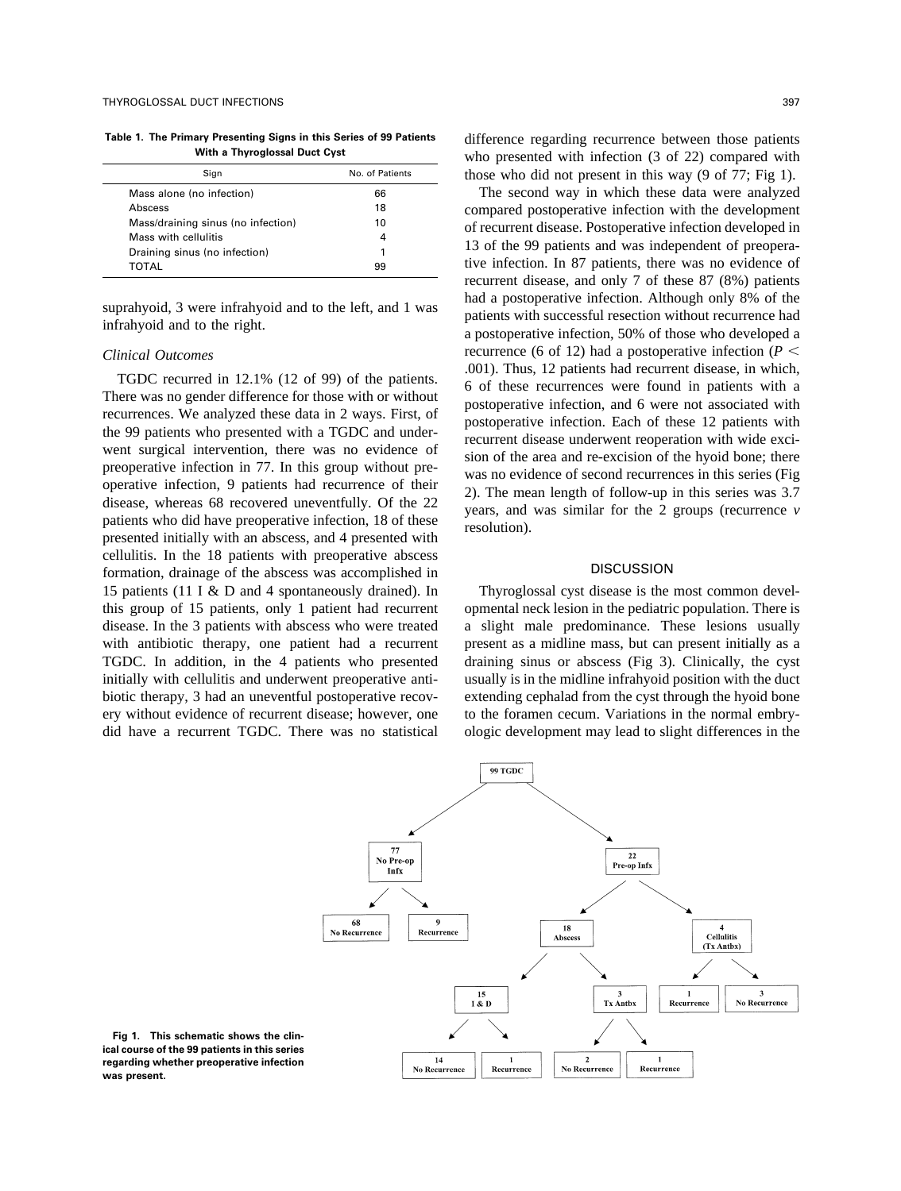**Table 1. The Primary Presenting Signs in this Series of 99 Patients With a Thyroglossal Duct Cyst**

| Sign                               | No. of Patients |
|------------------------------------|-----------------|
| Mass alone (no infection)          | 66              |
| Abscess                            | 18              |
| Mass/draining sinus (no infection) | 10              |
| Mass with cellulitis               | 4               |
| Draining sinus (no infection)      |                 |
| TOTAL                              | 99              |

suprahyoid, 3 were infrahyoid and to the left, and 1 was infrahyoid and to the right.

## *Clinical Outcomes*

TGDC recurred in 12.1% (12 of 99) of the patients. There was no gender difference for those with or without recurrences. We analyzed these data in 2 ways. First, of the 99 patients who presented with a TGDC and underwent surgical intervention, there was no evidence of preoperative infection in 77. In this group without preoperative infection, 9 patients had recurrence of their disease, whereas 68 recovered uneventfully. Of the 22 patients who did have preoperative infection, 18 of these presented initially with an abscess, and 4 presented with cellulitis. In the 18 patients with preoperative abscess formation, drainage of the abscess was accomplished in 15 patients (11 I & D and 4 spontaneously drained). In this group of 15 patients, only 1 patient had recurrent disease. In the 3 patients with abscess who were treated with antibiotic therapy, one patient had a recurrent TGDC. In addition, in the 4 patients who presented initially with cellulitis and underwent preoperative antibiotic therapy, 3 had an uneventful postoperative recovery without evidence of recurrent disease; however, one did have a recurrent TGDC. There was no statistical difference regarding recurrence between those patients who presented with infection (3 of 22) compared with those who did not present in this way (9 of 77; Fig 1).

The second way in which these data were analyzed compared postoperative infection with the development of recurrent disease. Postoperative infection developed in 13 of the 99 patients and was independent of preoperative infection. In 87 patients, there was no evidence of recurrent disease, and only 7 of these 87 (8%) patients had a postoperative infection. Although only 8% of the patients with successful resection without recurrence had a postoperative infection, 50% of those who developed a recurrence (6 of 12) had a postoperative infection ( $P \leq$ .001). Thus, 12 patients had recurrent disease, in which, 6 of these recurrences were found in patients with a postoperative infection, and 6 were not associated with postoperative infection. Each of these 12 patients with recurrent disease underwent reoperation with wide excision of the area and re-excision of the hyoid bone; there was no evidence of second recurrences in this series (Fig 2). The mean length of follow-up in this series was 3.7 years, and was similar for the 2 groups (recurrence *v* resolution).

#### **DISCUSSION**

Thyroglossal cyst disease is the most common developmental neck lesion in the pediatric population. There is a slight male predominance. These lesions usually present as a midline mass, but can present initially as a draining sinus or abscess (Fig 3). Clinically, the cyst usually is in the midline infrahyoid position with the duct extending cephalad from the cyst through the hyoid bone to the foramen cecum. Variations in the normal embryologic development may lead to slight differences in the



**Fig 1. This schematic shows the clinical course of the 99 patients in this series regarding whether preoperative infection was present.**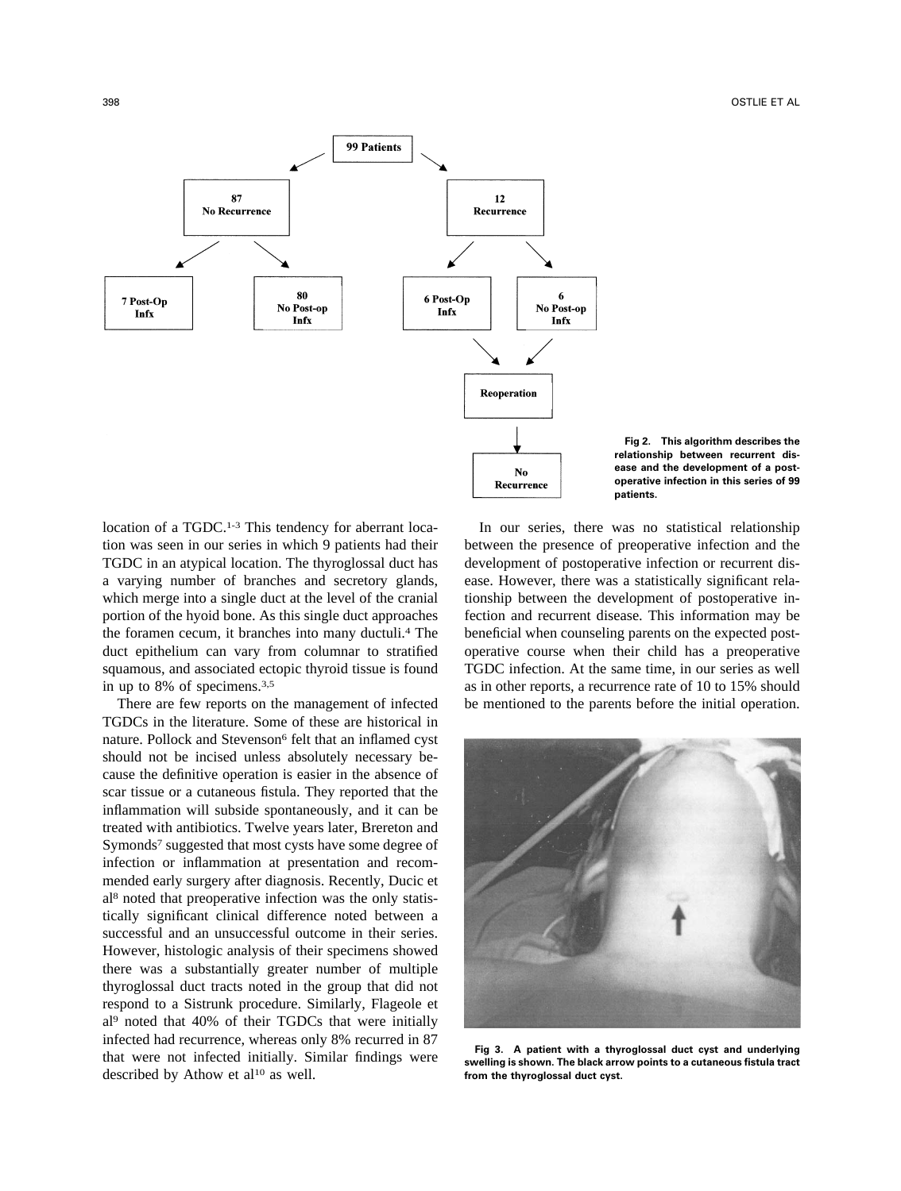



location of a TGDC.<sup>1-3</sup> This tendency for aberrant location was seen in our series in which 9 patients had their TGDC in an atypical location. The thyroglossal duct has a varying number of branches and secretory glands, which merge into a single duct at the level of the cranial portion of the hyoid bone. As this single duct approaches the foramen cecum, it branches into many ductuli.4 The duct epithelium can vary from columnar to stratified squamous, and associated ectopic thyroid tissue is found in up to 8% of specimens.3,5

There are few reports on the management of infected TGDCs in the literature. Some of these are historical in nature. Pollock and Stevenson<sup>6</sup> felt that an inflamed cyst should not be incised unless absolutely necessary because the definitive operation is easier in the absence of scar tissue or a cutaneous fistula. They reported that the inflammation will subside spontaneously, and it can be treated with antibiotics. Twelve years later, Brereton and Symonds7 suggested that most cysts have some degree of infection or inflammation at presentation and recommended early surgery after diagnosis. Recently, Ducic et al8 noted that preoperative infection was the only statistically significant clinical difference noted between a successful and an unsuccessful outcome in their series. However, histologic analysis of their specimens showed there was a substantially greater number of multiple thyroglossal duct tracts noted in the group that did not respond to a Sistrunk procedure. Similarly, Flageole et al9 noted that 40% of their TGDCs that were initially infected had recurrence, whereas only 8% recurred in 87 that were not infected initially. Similar findings were described by Athow et al<sup>10</sup> as well.

In our series, there was no statistical relationship between the presence of preoperative infection and the development of postoperative infection or recurrent disease. However, there was a statistically significant relationship between the development of postoperative infection and recurrent disease. This information may be beneficial when counseling parents on the expected postoperative course when their child has a preoperative TGDC infection. At the same time, in our series as well as in other reports, a recurrence rate of 10 to 15% should be mentioned to the parents before the initial operation.



**Fig 3. A patient with a thyroglossal duct cyst and underlying swelling is shown. The black arrow points to a cutaneous fistula tract from the thyroglossal duct cyst.**